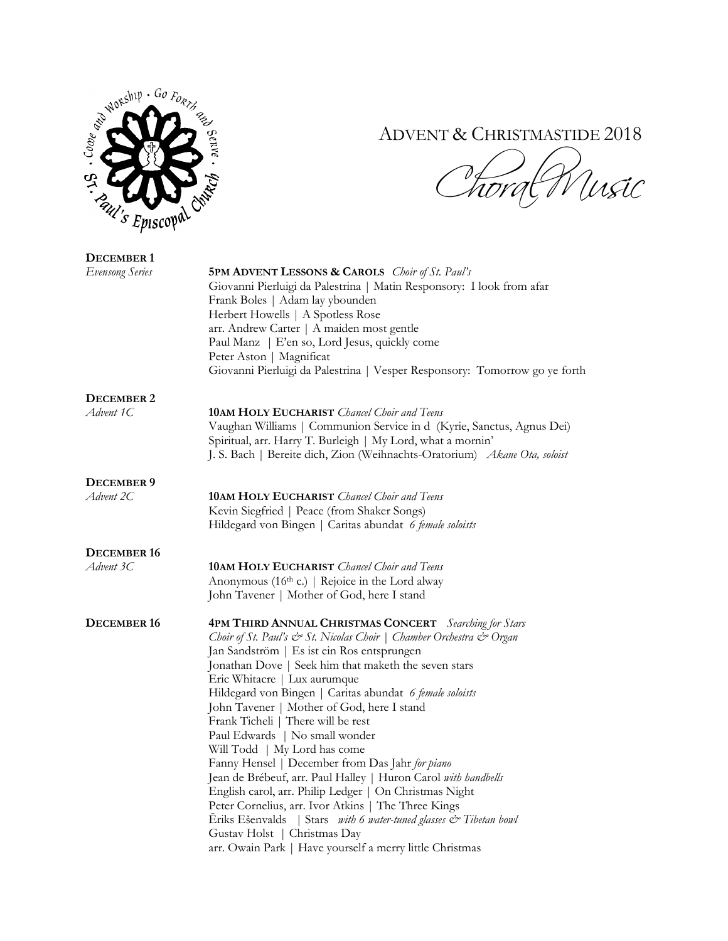

## ADVENT & CHRISTMASTIDE 2018

*Choral Music* 

| <b>DECEMBER 1</b>      |                                                                                                                                                                                                                                                                                                                                                                                                                                                                                                                                                                                                                                                                                                                                                                                                                                                                                                                                     |
|------------------------|-------------------------------------------------------------------------------------------------------------------------------------------------------------------------------------------------------------------------------------------------------------------------------------------------------------------------------------------------------------------------------------------------------------------------------------------------------------------------------------------------------------------------------------------------------------------------------------------------------------------------------------------------------------------------------------------------------------------------------------------------------------------------------------------------------------------------------------------------------------------------------------------------------------------------------------|
| <b>Evensong Series</b> | <b>5PM ADVENT LESSONS &amp; CAROLS</b> <i>Choir of St. Paul's</i><br>Giovanni Pierluigi da Palestrina   Matin Responsory: I look from afar<br>Frank Boles   Adam lay ybounden<br>Herbert Howells   A Spotless Rose<br>arr. Andrew Carter   A maiden most gentle<br>Paul Manz   E'en so, Lord Jesus, quickly come<br>Peter Aston   Magnificat<br>Giovanni Pierluigi da Palestrina   Vesper Responsory: Tomorrow go ye forth                                                                                                                                                                                                                                                                                                                                                                                                                                                                                                          |
| <b>DECEMBER 2</b>      |                                                                                                                                                                                                                                                                                                                                                                                                                                                                                                                                                                                                                                                                                                                                                                                                                                                                                                                                     |
| Advent 1C              | <b>10AM HOLY EUCHARIST</b> <i>Chancel Choir and Teens</i><br>Vaughan Williams   Communion Service in d (Kyrie, Sanctus, Agnus Dei)<br>Spiritual, arr. Harry T. Burleigh   My Lord, what a mornin'<br>J. S. Bach   Bereite dich, Zion (Weihnachts-Oratorium) Akane Ota, soloist                                                                                                                                                                                                                                                                                                                                                                                                                                                                                                                                                                                                                                                      |
| <b>DECEMBER 9</b>      |                                                                                                                                                                                                                                                                                                                                                                                                                                                                                                                                                                                                                                                                                                                                                                                                                                                                                                                                     |
| Advent 2C              | <b>10AM HOLY EUCHARIST</b> Chancel Choir and Teens<br>Kevin Siegfried   Peace (from Shaker Songs)<br>Hildegard von Bingen   Caritas abundat 6 female soloists                                                                                                                                                                                                                                                                                                                                                                                                                                                                                                                                                                                                                                                                                                                                                                       |
| <b>DECEMBER 16</b>     |                                                                                                                                                                                                                                                                                                                                                                                                                                                                                                                                                                                                                                                                                                                                                                                                                                                                                                                                     |
| Advent 3C              | <b>10AM HOLY EUCHARIST</b> Chancel Choir and Teens<br>Anonymous (16th c.)   Rejoice in the Lord alway<br>John Tavener   Mother of God, here I stand                                                                                                                                                                                                                                                                                                                                                                                                                                                                                                                                                                                                                                                                                                                                                                                 |
| DECEMBER 16            | <b>4PM THIRD ANNUAL CHRISTMAS CONCERT</b> Searching for Stars<br>Choir of St. Paul's & St. Nicolas Choir   Chamber Orchestra & Organ<br>Jan Sandström   Es ist ein Ros entsprungen<br>Jonathan Dove   Seek him that maketh the seven stars<br>Eric Whitacre   Lux aurumque<br>Hildegard von Bingen   Caritas abundat 6 female soloists<br>John Tavener   Mother of God, here I stand<br>Frank Ticheli   There will be rest<br>Paul Edwards   No small wonder<br>Will Todd   My Lord has come<br>Fanny Hensel   December from Das Jahr for piano<br>Jean de Brébeuf, arr. Paul Halley   Huron Carol with handbells<br>English carol, arr. Philip Ledger   On Christmas Night<br>Peter Cornelius, arr. Ivor Atkins   The Three Kings<br>Eriks Ešenvalds   Stars <i>with 6 water-tuned glasses <math>\mathcal{C}^*</math> Tibetan bowl</i><br>Gustav Holst   Christmas Day<br>arr. Owain Park   Have yourself a merry little Christmas |